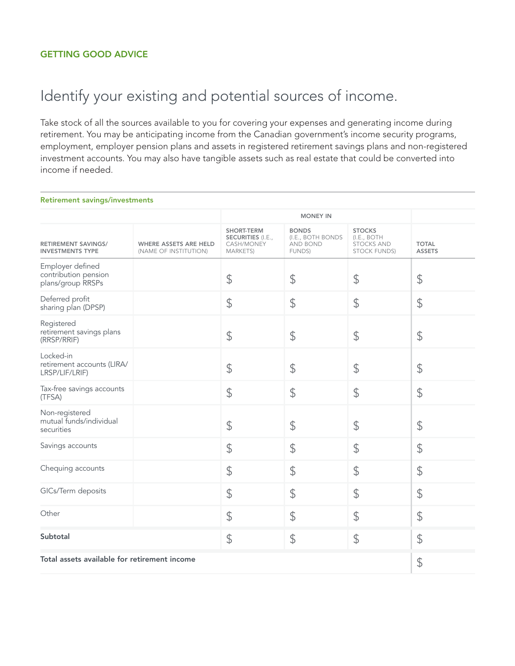## Identify your existing and potential sources of income.

Take stock of all the sources available to you for covering your expenses and generating income during retirement. You may be anticipating income from the Canadian government's income security programs, employment, employer pension plans and assets in registered retirement savings plans and non-registered investment accounts. You may also have tangible assets such as real estate that could be converted into income if needed.

## Retirement savings/investments

|                                                               |                                                       | <b>MONEY IN</b>                                                                |                                                         |                                                                          |                               |
|---------------------------------------------------------------|-------------------------------------------------------|--------------------------------------------------------------------------------|---------------------------------------------------------|--------------------------------------------------------------------------|-------------------------------|
| <b>RETIREMENT SAVINGS/</b><br><b>INVESTMENTS TYPE</b>         | <b>WHERE ASSETS ARE HELD</b><br>(NAME OF INSTITUTION) | <b>SHORT-TERM</b><br><b>SECURITIES (I.E.,</b><br>CASH/MONEY<br><b>MARKETS)</b> | <b>BONDS</b><br>(I.E., BOTH BONDS<br>AND BOND<br>FUNDS) | <b>STOCKS</b><br>(I.E., BOTH<br><b>STOCKS AND</b><br><b>STOCK FUNDS)</b> | <b>TOTAL</b><br><b>ASSETS</b> |
| Employer defined<br>contribution pension<br>plans/group RRSPs |                                                       | \$                                                                             | $\mathfrak{P}$                                          | \$                                                                       | $\frac{1}{2}$                 |
| Deferred profit<br>sharing plan (DPSP)                        |                                                       | \$                                                                             | \$                                                      | \$                                                                       | \$                            |
| Registered<br>retirement savings plans<br>(RRSP/RRIF)         |                                                       | $\frac{1}{2}$                                                                  | $\mathfrak{P}$                                          | \$                                                                       | $\frac{1}{2}$                 |
| Locked-in<br>retirement accounts (LIRA/<br>LRSP/LIF/LRIF)     |                                                       | \$                                                                             | $\mathfrak{P}$                                          | \$                                                                       | \$                            |
| Tax-free savings accounts<br>(TFSA)                           |                                                       | $\frac{1}{2}$                                                                  | $\mathcal{L}$                                           | \$                                                                       | $\updownarrow$                |
| Non-registered<br>mutual funds/individual<br>securities       |                                                       | $\frac{1}{2}$                                                                  | \$                                                      | \$                                                                       | $\frac{1}{2}$                 |
| Savings accounts                                              |                                                       | \$                                                                             | $\mathcal{P}$                                           | \$                                                                       | \$                            |
| Chequing accounts                                             |                                                       | $\mathfrak{P}$                                                                 | $\mathfrak{P}$                                          | \$                                                                       | $\frac{1}{2}$                 |
| GICs/Term deposits                                            |                                                       | $\frac{1}{2}$                                                                  | $\frac{1}{2}$                                           | \$                                                                       | $\updownarrow$                |
| Other                                                         |                                                       | \$                                                                             | $\mathcal{P}$                                           | \$                                                                       | \$                            |
| Subtotal                                                      |                                                       | $\frac{1}{2}$                                                                  | $\frac{1}{2}$                                           | \$                                                                       | $\mathcal{L}$                 |
| Total assets available for retirement income                  |                                                       |                                                                                |                                                         |                                                                          | \$                            |